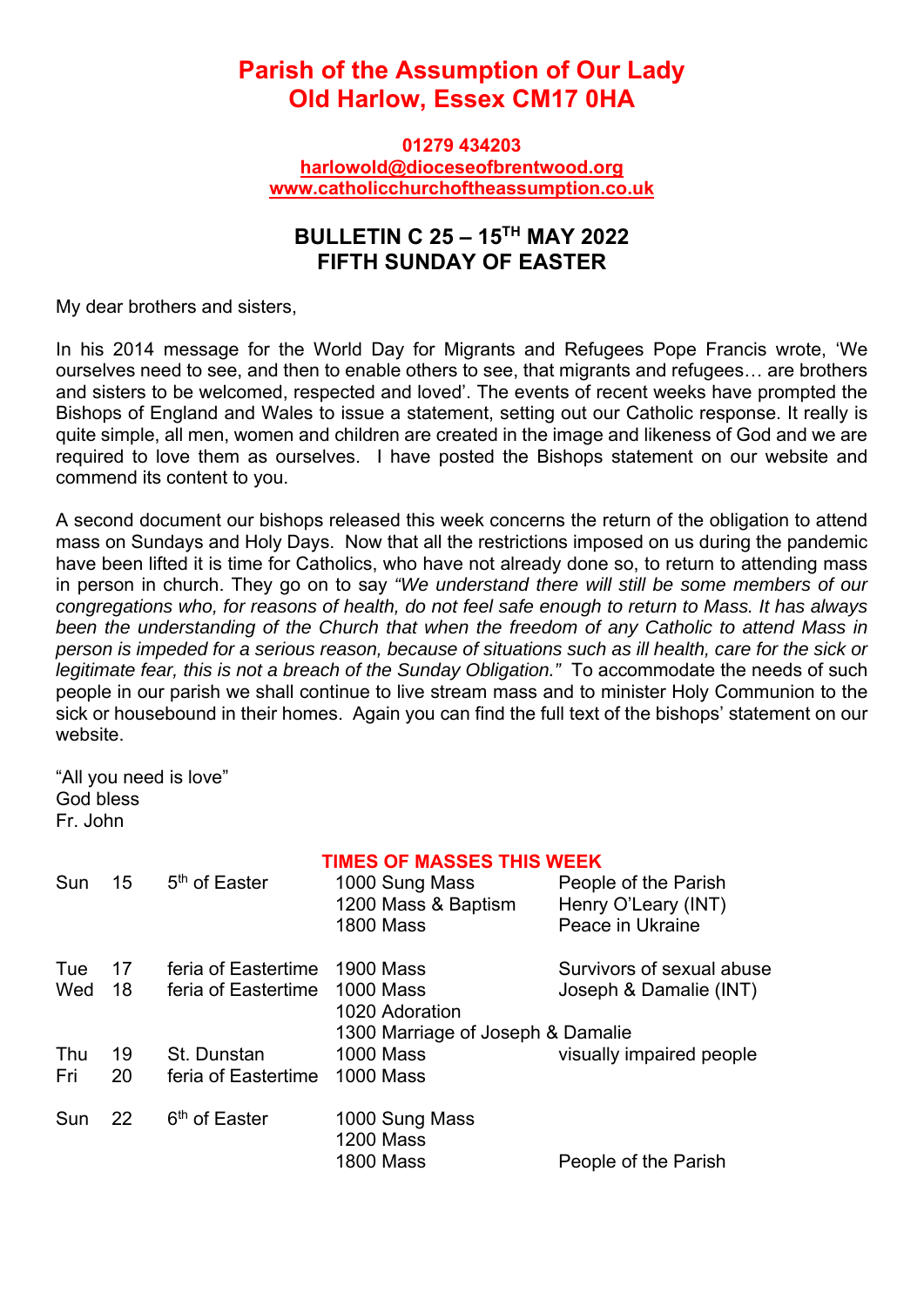## **Parish of the Assumption of Our Lady Old Harlow, Essex CM17 0HA**

**01279 434203 harlowold@dioceseofbrentwood.org www.catholicchurchoftheassumption.co.uk**

## **BULLETIN C 25 – 15TH MAY 2022 FIFTH SUNDAY OF EASTER**

My dear brothers and sisters,

In his 2014 message for the World Day for Migrants and Refugees Pope Francis wrote, 'We ourselves need to see, and then to enable others to see, that migrants and refugees… are brothers and sisters to be welcomed, respected and loved'. The events of recent weeks have prompted the Bishops of England and Wales to issue a statement, setting out our Catholic response. It really is quite simple, all men, women and children are created in the image and likeness of God and we are required to love them as ourselves. I have posted the Bishops statement on our website and commend its content to you.

A second document our bishops released this week concerns the return of the obligation to attend mass on Sundays and Holy Days. Now that all the restrictions imposed on us during the pandemic have been lifted it is time for Catholics, who have not already done so, to return to attending mass in person in church. They go on to say *"We understand there will still be some members of our congregations who, for reasons of health, do not feel safe enough to return to Mass. It has always been the understanding of the Church that when the freedom of any Catholic to attend Mass in person is impeded for a serious reason, because of situations such as ill health, care for the sick or*  legitimate fear, this is not a breach of the Sunday Obligation." To accommodate the needs of such people in our parish we shall continue to live stream mass and to minister Holy Communion to the sick or housebound in their homes. Again you can find the full text of the bishops' statement on our website.

"All you need is love" God bless Fr. John

|     |                 | <b>TIMES OF MASSES THIS WEEK</b> |                                   |                           |
|-----|-----------------|----------------------------------|-----------------------------------|---------------------------|
| Sun | 15              | 5 <sup>th</sup> of Easter        | 1000 Sung Mass                    | People of the Parish      |
|     |                 |                                  | 1200 Mass & Baptism               | Henry O'Leary (INT)       |
|     |                 |                                  | <b>1800 Mass</b>                  | Peace in Ukraine          |
| Tue | 17 <sup>2</sup> | feria of Eastertime              | <b>1900 Mass</b>                  | Survivors of sexual abuse |
| Wed | 18              | feria of Eastertime              | <b>1000 Mass</b>                  | Joseph & Damalie (INT)    |
|     |                 |                                  | 1020 Adoration                    |                           |
|     |                 |                                  | 1300 Marriage of Joseph & Damalie |                           |
| Thu | 19              | St. Dunstan                      | <b>1000 Mass</b>                  | visually impaired people  |
| Fri | 20              | feria of Eastertime              | <b>1000 Mass</b>                  |                           |
| Sun | 22              | 6 <sup>th</sup> of Easter        | 1000 Sung Mass                    |                           |
|     |                 |                                  | <b>1200 Mass</b>                  |                           |
|     |                 |                                  | <b>1800 Mass</b>                  | People of the Parish      |